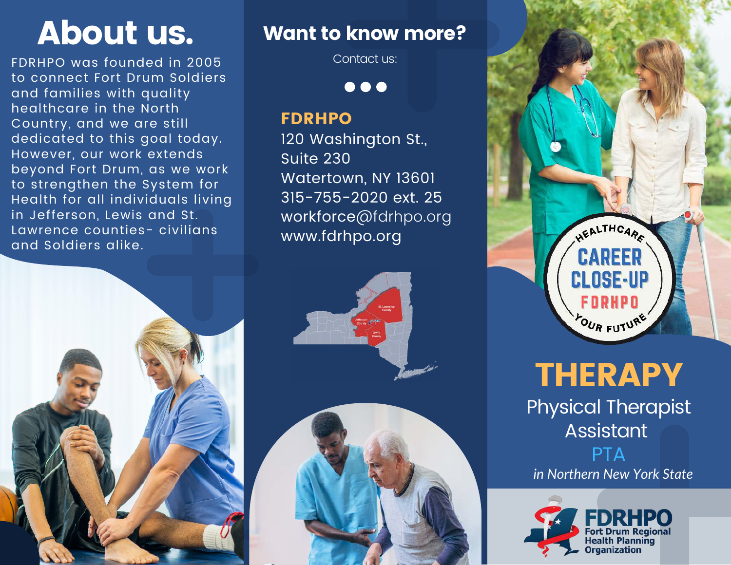FDRHPO was founded in 2005 to connect Fort Drum Soldiers and families with quality healthcare in the North Country, and we are still dedicated to this goal today. However, our work extends beyond Fort Drum, as we work to strengthen the System for Health for all individuals living in Jefferson, Lewis and St. Lawrence counties- civilians and Soldiers alike.



Contact us:

 $\bullet\bullet\bullet$ 

#### FDRHPO

120 Washington St., Suite 230 Watertown, NY 13601 315-755-2020 ext. 25 workforce@fdrhpo.org www.fdrhpo.org





**THERAPY** 

Physical Therapist Assistant **PTA** 

*in Northern New York State*